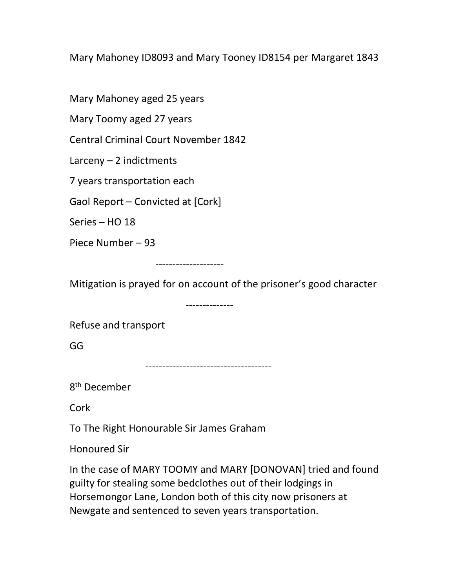Mary Mahoney ID8093 and Mary Tooney ID8154 per Margaret 1843

Mary Mahoney aged 25 years

Mary Toomy aged 27 years

Central Criminal Court November 1842

Larceny  $-2$  indictments

7 years transportation each

Gaol Report – Convicted at [Cork]

Series – HO 18

Piece Number – 93

--------------------

Mitigation is prayed for on account of the prisoner's good character

--------------

Refuse and transport

GG

-------------------------------------

8<sup>th</sup> December

Cork

To The Right Honourable Sir James Graham

Honoured Sir

In the case of MARY TOOMY and MARY [DONOVAN] tried and found guilty for stealing some bedclothes out of their lodgings in Horsemongor Lane, London both of this city now prisoners at Newgate and sentenced to seven years transportation.